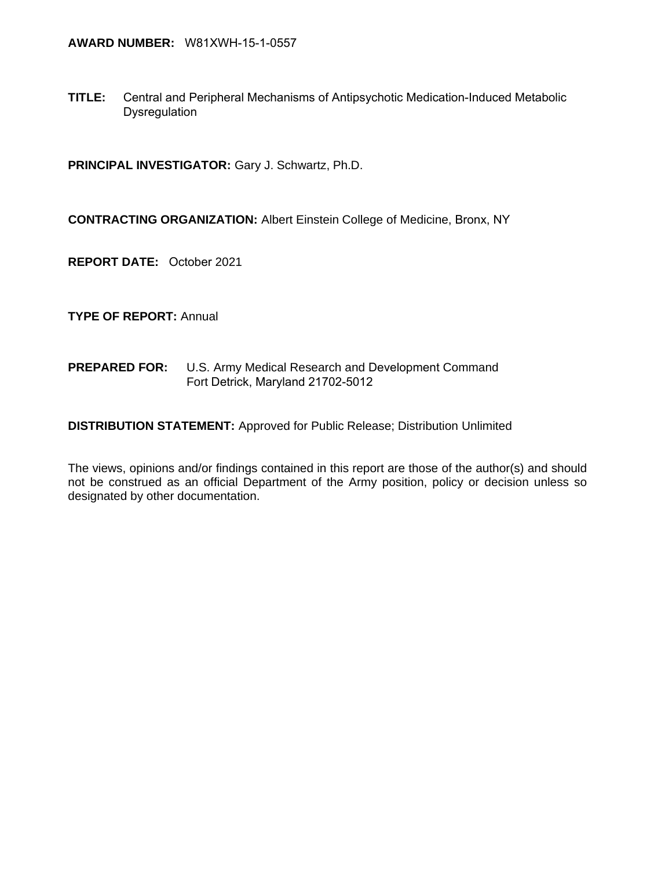**TITLE:** Central and Peripheral Mechanisms of Antipsychotic Medication-Induced Metabolic Dysregulation

**PRINCIPAL INVESTIGATOR:** Gary J. Schwartz, Ph.D.

**CONTRACTING ORGANIZATION:** Albert Einstein College of Medicine, Bronx, NY

**REPORT DATE:** October 2021

**TYPE OF REPORT:** Annual

**PREPARED FOR:** U.S. Army Medical Research and Development Command Fort Detrick, Maryland 21702-5012

**DISTRIBUTION STATEMENT:** Approved for Public Release; Distribution Unlimited

The views, opinions and/or findings contained in this report are those of the author(s) and should not be construed as an official Department of the Army position, policy or decision unless so designated by other documentation.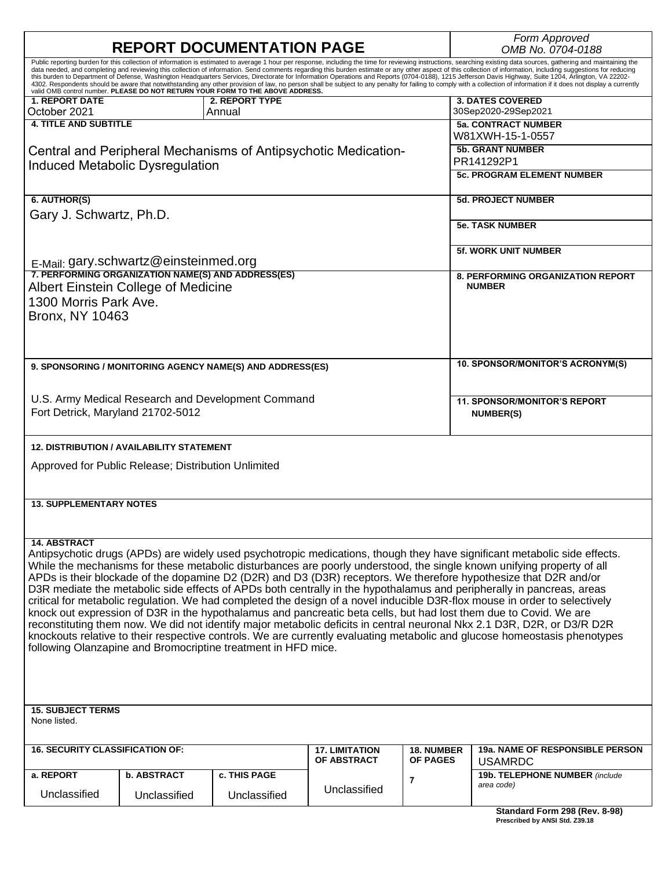|                                                                                                                                                                                                                                                                                                                                                                                                                            |                                                                                                                            | <b>REPORT DOCUMENTATION PAGE</b>                          |                                                                |                                      | Form Approved<br>OMB No. 0704-0188                                                                                                                                                                                                |  |  |  |
|----------------------------------------------------------------------------------------------------------------------------------------------------------------------------------------------------------------------------------------------------------------------------------------------------------------------------------------------------------------------------------------------------------------------------|----------------------------------------------------------------------------------------------------------------------------|-----------------------------------------------------------|----------------------------------------------------------------|--------------------------------------|-----------------------------------------------------------------------------------------------------------------------------------------------------------------------------------------------------------------------------------|--|--|--|
|                                                                                                                                                                                                                                                                                                                                                                                                                            |                                                                                                                            |                                                           |                                                                |                                      | Public reporting burden for this collection of information is estimated to average 1 hour per response, including the time for reviewing instructions, searching existing data sources, gathering and maintaining the             |  |  |  |
| data needed, and completing and reviewing this collection of information. Send comments regarding this burden estimate or any other aspect of this collection of information, including suggestions for reducing<br>this burden to Department of Defense, Washington Headquarters Services, Directorate for Information Operations and Reports (0704-0188), 1215 Jefferson Davis Highway, Suite 1204, Arlington, VA 22202- |                                                                                                                            |                                                           |                                                                |                                      |                                                                                                                                                                                                                                   |  |  |  |
|                                                                                                                                                                                                                                                                                                                                                                                                                            |                                                                                                                            |                                                           |                                                                |                                      | 4302. Respondents should be aware that notwithstanding any other provision of law, no person shall be subject to any penalty for failing to comply with a collection of information if it does not display a currently<br>valid O |  |  |  |
| <b>1. REPORT DATE</b>                                                                                                                                                                                                                                                                                                                                                                                                      |                                                                                                                            | 2. REPORT TYPE                                            |                                                                |                                      | <b>3. DATES COVERED</b>                                                                                                                                                                                                           |  |  |  |
| October 2021                                                                                                                                                                                                                                                                                                                                                                                                               |                                                                                                                            | Annual                                                    |                                                                |                                      | 30Sep2020-29Sep2021                                                                                                                                                                                                               |  |  |  |
| <b>4. TITLE AND SUBTITLE</b>                                                                                                                                                                                                                                                                                                                                                                                               |                                                                                                                            |                                                           |                                                                |                                      | <b>5a. CONTRACT NUMBER</b>                                                                                                                                                                                                        |  |  |  |
|                                                                                                                                                                                                                                                                                                                                                                                                                            |                                                                                                                            |                                                           |                                                                |                                      | W81XWH-15-1-0557                                                                                                                                                                                                                  |  |  |  |
|                                                                                                                                                                                                                                                                                                                                                                                                                            |                                                                                                                            |                                                           | Central and Peripheral Mechanisms of Antipsychotic Medication- |                                      | <b>5b. GRANT NUMBER</b>                                                                                                                                                                                                           |  |  |  |
|                                                                                                                                                                                                                                                                                                                                                                                                                            | <b>Induced Metabolic Dysregulation</b>                                                                                     |                                                           |                                                                |                                      | PR141292P1                                                                                                                                                                                                                        |  |  |  |
|                                                                                                                                                                                                                                                                                                                                                                                                                            |                                                                                                                            |                                                           |                                                                |                                      | <b>5c. PROGRAM ELEMENT NUMBER</b>                                                                                                                                                                                                 |  |  |  |
|                                                                                                                                                                                                                                                                                                                                                                                                                            |                                                                                                                            |                                                           |                                                                |                                      |                                                                                                                                                                                                                                   |  |  |  |
| 6. AUTHOR(S)                                                                                                                                                                                                                                                                                                                                                                                                               |                                                                                                                            |                                                           |                                                                |                                      | <b>5d. PROJECT NUMBER</b>                                                                                                                                                                                                         |  |  |  |
| Gary J. Schwartz, Ph.D.                                                                                                                                                                                                                                                                                                                                                                                                    |                                                                                                                            |                                                           |                                                                |                                      |                                                                                                                                                                                                                                   |  |  |  |
|                                                                                                                                                                                                                                                                                                                                                                                                                            |                                                                                                                            |                                                           |                                                                |                                      | <b>5e. TASK NUMBER</b>                                                                                                                                                                                                            |  |  |  |
|                                                                                                                                                                                                                                                                                                                                                                                                                            |                                                                                                                            |                                                           |                                                                |                                      |                                                                                                                                                                                                                                   |  |  |  |
|                                                                                                                                                                                                                                                                                                                                                                                                                            |                                                                                                                            |                                                           |                                                                |                                      | <b>5f. WORK UNIT NUMBER</b>                                                                                                                                                                                                       |  |  |  |
|                                                                                                                                                                                                                                                                                                                                                                                                                            | E-Mail: gary.schwartz@einsteinmed.org                                                                                      |                                                           |                                                                |                                      |                                                                                                                                                                                                                                   |  |  |  |
|                                                                                                                                                                                                                                                                                                                                                                                                                            | 7. PERFORMING ORGANIZATION NAME(S) AND ADDRESS(ES)                                                                         |                                                           |                                                                |                                      | <b>8. PERFORMING ORGANIZATION REPORT</b>                                                                                                                                                                                          |  |  |  |
|                                                                                                                                                                                                                                                                                                                                                                                                                            | Albert Einstein College of Medicine                                                                                        |                                                           |                                                                |                                      | <b>NUMBER</b>                                                                                                                                                                                                                     |  |  |  |
| 1300 Morris Park Ave.                                                                                                                                                                                                                                                                                                                                                                                                      |                                                                                                                            |                                                           |                                                                |                                      |                                                                                                                                                                                                                                   |  |  |  |
|                                                                                                                                                                                                                                                                                                                                                                                                                            |                                                                                                                            |                                                           |                                                                |                                      |                                                                                                                                                                                                                                   |  |  |  |
| <b>Bronx, NY 10463</b>                                                                                                                                                                                                                                                                                                                                                                                                     |                                                                                                                            |                                                           |                                                                |                                      |                                                                                                                                                                                                                                   |  |  |  |
|                                                                                                                                                                                                                                                                                                                                                                                                                            |                                                                                                                            |                                                           |                                                                |                                      |                                                                                                                                                                                                                                   |  |  |  |
|                                                                                                                                                                                                                                                                                                                                                                                                                            |                                                                                                                            |                                                           |                                                                |                                      |                                                                                                                                                                                                                                   |  |  |  |
|                                                                                                                                                                                                                                                                                                                                                                                                                            |                                                                                                                            |                                                           |                                                                |                                      | 10. SPONSOR/MONITOR'S ACRONYM(S)                                                                                                                                                                                                  |  |  |  |
|                                                                                                                                                                                                                                                                                                                                                                                                                            |                                                                                                                            | 9. SPONSORING / MONITORING AGENCY NAME(S) AND ADDRESS(ES) |                                                                |                                      |                                                                                                                                                                                                                                   |  |  |  |
|                                                                                                                                                                                                                                                                                                                                                                                                                            |                                                                                                                            |                                                           |                                                                |                                      |                                                                                                                                                                                                                                   |  |  |  |
|                                                                                                                                                                                                                                                                                                                                                                                                                            |                                                                                                                            | U.S. Army Medical Research and Development Command        |                                                                |                                      | <b>11. SPONSOR/MONITOR'S REPORT</b>                                                                                                                                                                                               |  |  |  |
| Fort Detrick, Maryland 21702-5012                                                                                                                                                                                                                                                                                                                                                                                          |                                                                                                                            |                                                           |                                                                |                                      | <b>NUMBER(S)</b>                                                                                                                                                                                                                  |  |  |  |
|                                                                                                                                                                                                                                                                                                                                                                                                                            |                                                                                                                            |                                                           |                                                                |                                      |                                                                                                                                                                                                                                   |  |  |  |
|                                                                                                                                                                                                                                                                                                                                                                                                                            |                                                                                                                            |                                                           |                                                                |                                      |                                                                                                                                                                                                                                   |  |  |  |
|                                                                                                                                                                                                                                                                                                                                                                                                                            | 12. DISTRIBUTION / AVAILABILITY STATEMENT                                                                                  |                                                           |                                                                |                                      |                                                                                                                                                                                                                                   |  |  |  |
|                                                                                                                                                                                                                                                                                                                                                                                                                            |                                                                                                                            |                                                           |                                                                |                                      |                                                                                                                                                                                                                                   |  |  |  |
|                                                                                                                                                                                                                                                                                                                                                                                                                            | Approved for Public Release; Distribution Unlimited                                                                        |                                                           |                                                                |                                      |                                                                                                                                                                                                                                   |  |  |  |
|                                                                                                                                                                                                                                                                                                                                                                                                                            |                                                                                                                            |                                                           |                                                                |                                      |                                                                                                                                                                                                                                   |  |  |  |
|                                                                                                                                                                                                                                                                                                                                                                                                                            |                                                                                                                            |                                                           |                                                                |                                      |                                                                                                                                                                                                                                   |  |  |  |
| <b>13. SUPPLEMENTARY NOTES</b>                                                                                                                                                                                                                                                                                                                                                                                             |                                                                                                                            |                                                           |                                                                |                                      |                                                                                                                                                                                                                                   |  |  |  |
|                                                                                                                                                                                                                                                                                                                                                                                                                            |                                                                                                                            |                                                           |                                                                |                                      |                                                                                                                                                                                                                                   |  |  |  |
|                                                                                                                                                                                                                                                                                                                                                                                                                            |                                                                                                                            |                                                           |                                                                |                                      |                                                                                                                                                                                                                                   |  |  |  |
| <b>14. ABSTRACT</b>                                                                                                                                                                                                                                                                                                                                                                                                        |                                                                                                                            |                                                           |                                                                |                                      |                                                                                                                                                                                                                                   |  |  |  |
| Antipsychotic drugs (APDs) are widely used psychotropic medications, though they have significant metabolic side effects.                                                                                                                                                                                                                                                                                                  |                                                                                                                            |                                                           |                                                                |                                      |                                                                                                                                                                                                                                   |  |  |  |
| While the mechanisms for these metabolic disturbances are poorly understood, the single known unifying property of all                                                                                                                                                                                                                                                                                                     |                                                                                                                            |                                                           |                                                                |                                      |                                                                                                                                                                                                                                   |  |  |  |
| APDs is their blockade of the dopamine D2 (D2R) and D3 (D3R) receptors. We therefore hypothesize that D2R and/or                                                                                                                                                                                                                                                                                                           |                                                                                                                            |                                                           |                                                                |                                      |                                                                                                                                                                                                                                   |  |  |  |
| D3R mediate the metabolic side effects of APDs both centrally in the hypothalamus and peripherally in pancreas, areas                                                                                                                                                                                                                                                                                                      |                                                                                                                            |                                                           |                                                                |                                      |                                                                                                                                                                                                                                   |  |  |  |
|                                                                                                                                                                                                                                                                                                                                                                                                                            | critical for metabolic regulation. We had completed the design of a novel inducible D3R-flox mouse in order to selectively |                                                           |                                                                |                                      |                                                                                                                                                                                                                                   |  |  |  |
| knock out expression of D3R in the hypothalamus and pancreatic beta cells, but had lost them due to Covid. We are                                                                                                                                                                                                                                                                                                          |                                                                                                                            |                                                           |                                                                |                                      |                                                                                                                                                                                                                                   |  |  |  |
| reconstituting them now. We did not identify major metabolic deficits in central neuronal Nkx 2.1 D3R, D2R, or D3/R D2R                                                                                                                                                                                                                                                                                                    |                                                                                                                            |                                                           |                                                                |                                      |                                                                                                                                                                                                                                   |  |  |  |
| knockouts relative to their respective controls. We are currently evaluating metabolic and glucose homeostasis phenotypes<br>following Olanzapine and Bromocriptine treatment in HFD mice.                                                                                                                                                                                                                                 |                                                                                                                            |                                                           |                                                                |                                      |                                                                                                                                                                                                                                   |  |  |  |
|                                                                                                                                                                                                                                                                                                                                                                                                                            |                                                                                                                            |                                                           |                                                                |                                      |                                                                                                                                                                                                                                   |  |  |  |
|                                                                                                                                                                                                                                                                                                                                                                                                                            |                                                                                                                            |                                                           |                                                                |                                      |                                                                                                                                                                                                                                   |  |  |  |
|                                                                                                                                                                                                                                                                                                                                                                                                                            |                                                                                                                            |                                                           |                                                                |                                      |                                                                                                                                                                                                                                   |  |  |  |
|                                                                                                                                                                                                                                                                                                                                                                                                                            |                                                                                                                            |                                                           |                                                                |                                      |                                                                                                                                                                                                                                   |  |  |  |
| <b>15. SUBJECT TERMS</b>                                                                                                                                                                                                                                                                                                                                                                                                   |                                                                                                                            |                                                           |                                                                |                                      |                                                                                                                                                                                                                                   |  |  |  |
| None listed.                                                                                                                                                                                                                                                                                                                                                                                                               |                                                                                                                            |                                                           |                                                                |                                      |                                                                                                                                                                                                                                   |  |  |  |
|                                                                                                                                                                                                                                                                                                                                                                                                                            |                                                                                                                            |                                                           |                                                                |                                      |                                                                                                                                                                                                                                   |  |  |  |
| <b>16. SECURITY CLASSIFICATION OF:</b>                                                                                                                                                                                                                                                                                                                                                                                     |                                                                                                                            |                                                           |                                                                |                                      | 19a. NAME OF RESPONSIBLE PERSON                                                                                                                                                                                                   |  |  |  |
|                                                                                                                                                                                                                                                                                                                                                                                                                            |                                                                                                                            |                                                           | <b>17. LIMITATION</b><br>OF ABSTRACT                           | <b>18. NUMBER</b><br><b>OF PAGES</b> | <b>USAMRDC</b>                                                                                                                                                                                                                    |  |  |  |
| a. REPORT                                                                                                                                                                                                                                                                                                                                                                                                                  | <b>b. ABSTRACT</b>                                                                                                         | c. THIS PAGE                                              |                                                                |                                      |                                                                                                                                                                                                                                   |  |  |  |
|                                                                                                                                                                                                                                                                                                                                                                                                                            |                                                                                                                            |                                                           |                                                                | 7                                    | 19b. TELEPHONE NUMBER (include<br>area code)                                                                                                                                                                                      |  |  |  |
| Unclassified                                                                                                                                                                                                                                                                                                                                                                                                               | Unclassified                                                                                                               | Unclassified                                              | Unclassified                                                   |                                      |                                                                                                                                                                                                                                   |  |  |  |
|                                                                                                                                                                                                                                                                                                                                                                                                                            |                                                                                                                            |                                                           |                                                                |                                      | Standard Form 298 (Rev. 8-98)                                                                                                                                                                                                     |  |  |  |

 $\mathbf{r}$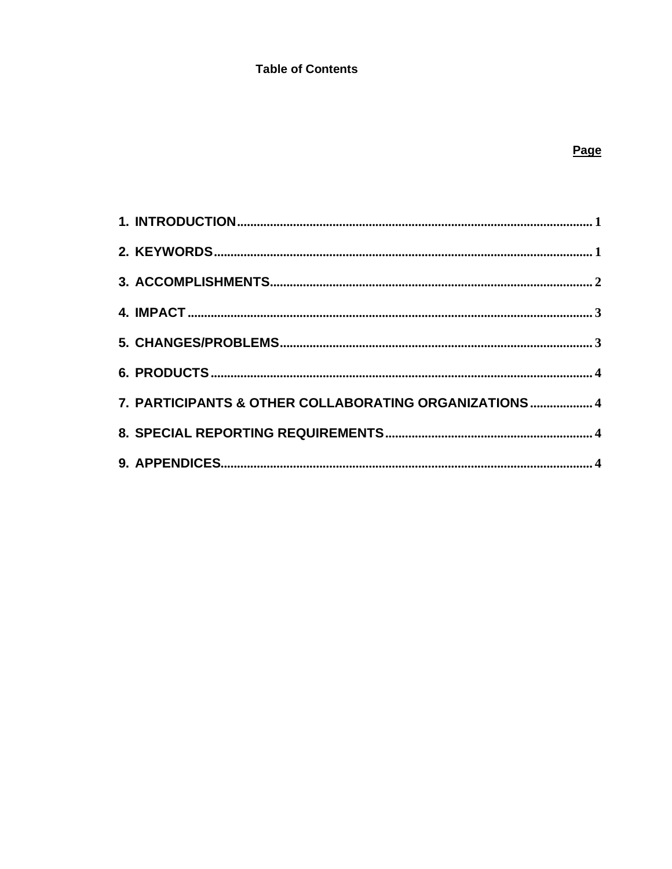## **Table of Contents**

| 7. PARTICIPANTS & OTHER COLLABORATING ORGANIZATIONS 4 |  |
|-------------------------------------------------------|--|
|                                                       |  |
|                                                       |  |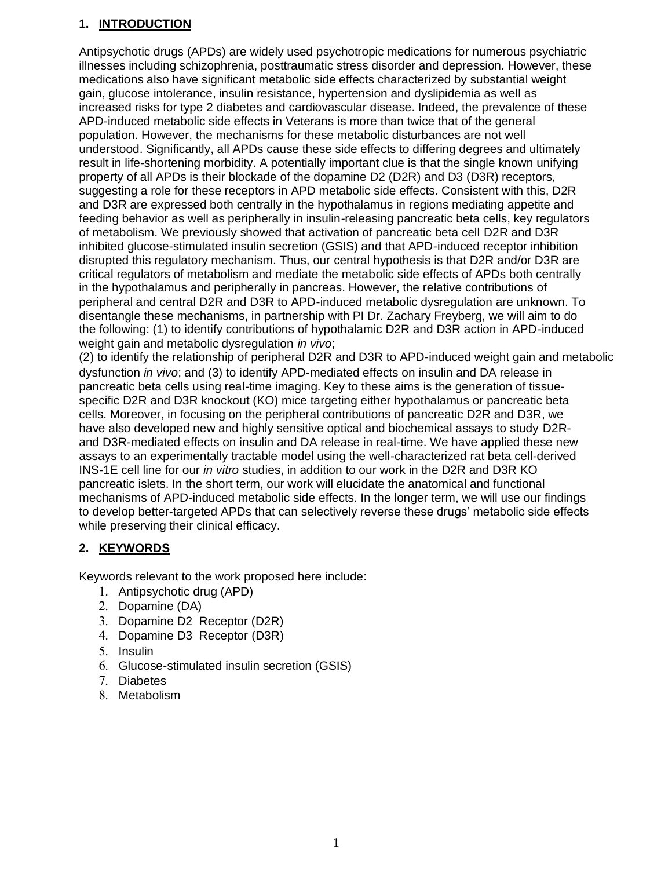## <span id="page-3-0"></span>**1. INTRODUCTION**

Antipsychotic drugs (APDs) are widely used psychotropic medications for numerous psychiatric illnesses including schizophrenia, posttraumatic stress disorder and depression. However, these medications also have significant metabolic side effects characterized by substantial weight gain, glucose intolerance, insulin resistance, hypertension and dyslipidemia as well as increased risks for type 2 diabetes and cardiovascular disease. Indeed, the prevalence of these APD-induced metabolic side effects in Veterans is more than twice that of the general population. However, the mechanisms for these metabolic disturbances are not well understood. Significantly, all APDs cause these side effects to differing degrees and ultimately result in life-shortening morbidity. A potentially important clue is that the single known unifying property of all APDs is their blockade of the dopamine D2 (D2R) and D3 (D3R) receptors, suggesting a role for these receptors in APD metabolic side effects. Consistent with this, D2R and D3R are expressed both centrally in the hypothalamus in regions mediating appetite and feeding behavior as well as peripherally in insulin-releasing pancreatic beta cells, key regulators of metabolism. We previously showed that activation of pancreatic beta cell D2R and D3R inhibited glucose-stimulated insulin secretion (GSIS) and that APD-induced receptor inhibition disrupted this regulatory mechanism. Thus, our central hypothesis is that D2R and/or D3R are critical regulators of metabolism and mediate the metabolic side effects of APDs both centrally in the hypothalamus and peripherally in pancreas. However, the relative contributions of peripheral and central D2R and D3R to APD-induced metabolic dysregulation are unknown. To disentangle these mechanisms, in partnership with PI Dr. Zachary Freyberg, we will aim to do the following: (1) to identify contributions of hypothalamic D2R and D3R action in APD-induced weight gain and metabolic dysregulation *in vivo*;

(2) to identify the relationship of peripheral D2R and D3R to APD-induced weight gain and metabolic dysfunction *in vivo*; and (3) to identify APD-mediated effects on insulin and DA release in pancreatic beta cells using real-time imaging. Key to these aims is the generation of tissuespecific D2R and D3R knockout (KO) mice targeting either hypothalamus or pancreatic beta cells. Moreover, in focusing on the peripheral contributions of pancreatic D2R and D3R, we have also developed new and highly sensitive optical and biochemical assays to study D2Rand D3R-mediated effects on insulin and DA release in real-time. We have applied these new assays to an experimentally tractable model using the well-characterized rat beta cell-derived INS-1E cell line for our *in vitro* studies, in addition to our work in the D2R and D3R KO pancreatic islets. In the short term, our work will elucidate the anatomical and functional mechanisms of APD-induced metabolic side effects. In the longer term, we will use our findings to develop better-targeted APDs that can selectively reverse these drugs' metabolic side effects while preserving their clinical efficacy.

## <span id="page-3-1"></span>**2. KEYWORDS**

Keywords relevant to the work proposed here include:

- 1. Antipsychotic drug (APD)
- 2. Dopamine (DA)
- 3. Dopamine D2 Receptor (D2R)
- 4. Dopamine D3 Receptor (D3R)
- 5. Insulin
- 6. Glucose-stimulated insulin secretion (GSIS)
- 7. Diabetes
- 8. Metabolism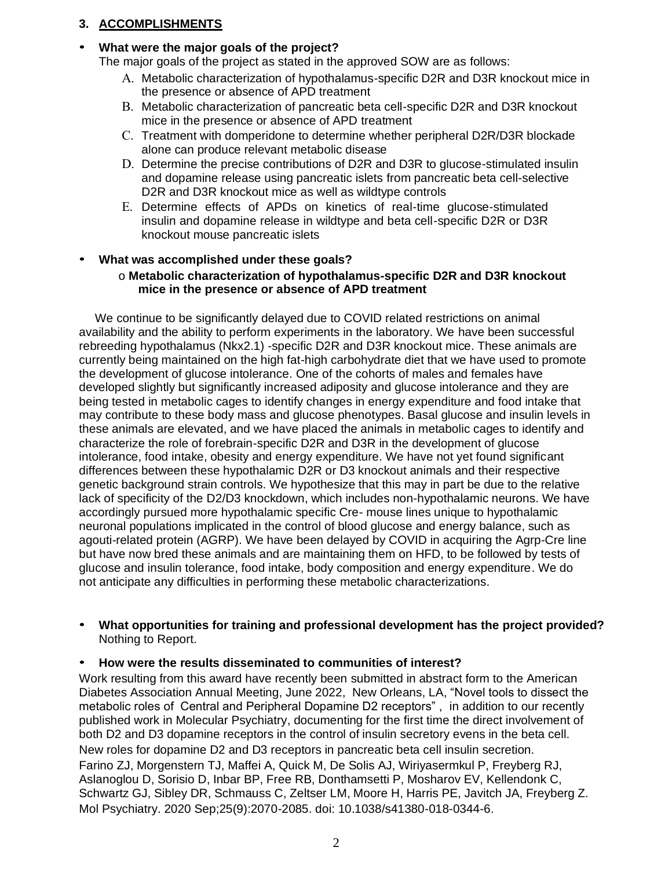## <span id="page-4-0"></span>**3. ACCOMPLISHMENTS**

# • **What were the major goals of the project?**

The major goals of the project as stated in the approved SOW are as follows:

- A. Metabolic characterization of hypothalamus-specific D2R and D3R knockout mice in the presence or absence of APD treatment
- B. Metabolic characterization of pancreatic beta cell-specific D2R and D3R knockout mice in the presence or absence of APD treatment
- C. Treatment with domperidone to determine whether peripheral D2R/D3R blockade alone can produce relevant metabolic disease
- D. Determine the precise contributions of D2R and D3R to glucose-stimulated insulin and dopamine release using pancreatic islets from pancreatic beta cell-selective D2R and D3R knockout mice as well as wildtype controls
- E. Determine effects of APDs on kinetics of real-time glucose-stimulated insulin and dopamine release in wildtype and beta cell-specific D2R or D3R knockout mouse pancreatic islets

# • **What was accomplished under these goals?**

## o **Metabolic characterization of hypothalamus-specific D2R and D3R knockout mice in the presence or absence of APD treatment**

We continue to be significantly delayed due to COVID related restrictions on animal availability and the ability to perform experiments in the laboratory. We have been successful rebreeding hypothalamus (Nkx2.1) -specific D2R and D3R knockout mice. These animals are currently being maintained on the high fat-high carbohydrate diet that we have used to promote the development of glucose intolerance. One of the cohorts of males and females have developed slightly but significantly increased adiposity and glucose intolerance and they are being tested in metabolic cages to identify changes in energy expenditure and food intake that may contribute to these body mass and glucose phenotypes. Basal glucose and insulin levels in these animals are elevated, and we have placed the animals in metabolic cages to identify and characterize the role of forebrain-specific D2R and D3R in the development of glucose intolerance, food intake, obesity and energy expenditure. We have not yet found significant differences between these hypothalamic D2R or D3 knockout animals and their respective genetic background strain controls. We hypothesize that this may in part be due to the relative lack of specificity of the D2/D3 knockdown, which includes non-hypothalamic neurons. We have accordingly pursued more hypothalamic specific Cre- mouse lines unique to hypothalamic neuronal populations implicated in the control of blood glucose and energy balance, such as agouti-related protein (AGRP). We have been delayed by COVID in acquiring the Agrp-Cre line but have now bred these animals and are maintaining them on HFD, to be followed by tests of glucose and insulin tolerance, food intake, body composition and energy expenditure. We do not anticipate any difficulties in performing these metabolic characterizations.

## • **What opportunities for training and professional development has the project provided?** Nothing to Report.

## • **How were the results disseminated to communities of interest?**

Work resulting from this award have recently been submitted in abstract form to the American Diabetes Association Annual Meeting, June 2022, New Orleans, LA, "Novel tools to dissect the metabolic roles of Central and Peripheral Dopamine D2 receptors" , in addition to our recently published work in Molecular Psychiatry, documenting for the first time the direct involvement of both D2 and D3 dopamine receptors in the control of insulin secretory evens in the beta cell. New roles for dopamine D2 and D3 receptors in pancreatic beta cell insulin secretion. Farino ZJ, Morgenstern TJ, Maffei A, Quick M, De Solis AJ, Wiriyasermkul P, Freyberg RJ, Aslanoglou D, Sorisio D, Inbar BP, Free RB, Donthamsetti P, Mosharov EV, Kellendonk C, Schwartz GJ, Sibley DR, Schmauss C, Zeltser LM, Moore H, Harris PE, Javitch JA, Freyberg Z. Mol Psychiatry. 2020 Sep;25(9):2070-2085. doi: 10.1038/s41380-018-0344-6.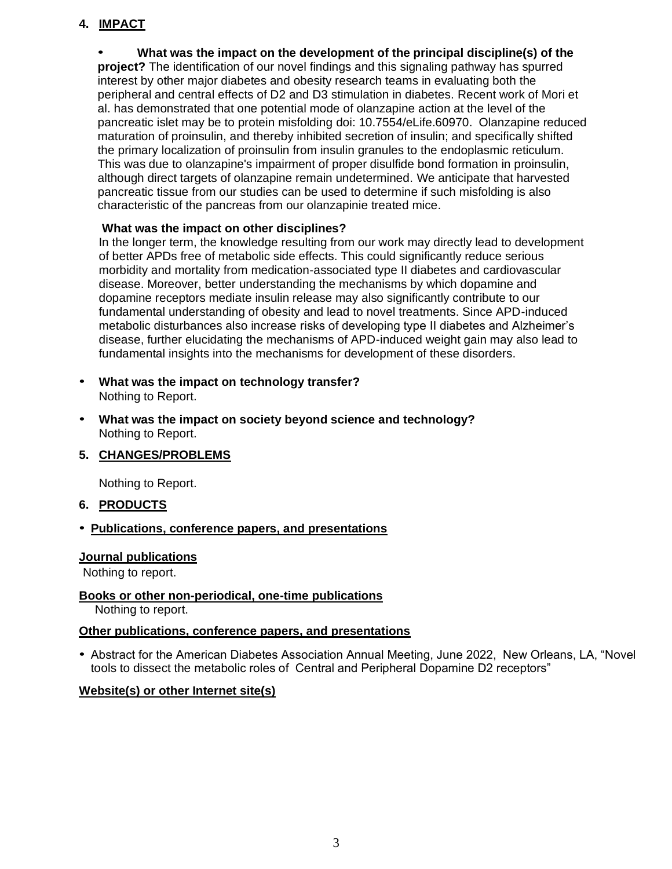## <span id="page-5-0"></span>**4. IMPACT**

• **What was the impact on the development of the principal discipline(s) of the project?** The identification of our novel findings and this signaling pathway has spurred interest by other major diabetes and obesity research teams in evaluating both the peripheral and central effects of D2 and D3 stimulation in diabetes. Recent work of Mori et al. has demonstrated that one potential mode of olanzapine action at the level of the pancreatic islet may be to protein misfolding doi: 10.7554/eLife.60970. Olanzapine reduced maturation of proinsulin, and thereby inhibited secretion of insulin; and specifically shifted the primary localization of proinsulin from insulin granules to the endoplasmic reticulum. This was due to olanzapine's impairment of proper disulfide bond formation in proinsulin, although direct targets of olanzapine remain undetermined. We anticipate that harvested pancreatic tissue from our studies can be used to determine if such misfolding is also characteristic of the pancreas from our olanzapinie treated mice.

### **What was the impact on other disciplines?**

In the longer term, the knowledge resulting from our work may directly lead to development of better APDs free of metabolic side effects. This could significantly reduce serious morbidity and mortality from medication-associated type II diabetes and cardiovascular disease. Moreover, better understanding the mechanisms by which dopamine and dopamine receptors mediate insulin release may also significantly contribute to our fundamental understanding of obesity and lead to novel treatments. Since APD-induced metabolic disturbances also increase risks of developing type II diabetes and Alzheimer's disease, further elucidating the mechanisms of APD-induced weight gain may also lead to fundamental insights into the mechanisms for development of these disorders.

- **What was the impact on technology transfer?** Nothing to Report.
- **What was the impact on society beyond science and technology?** Nothing to Report.
- <span id="page-5-1"></span>**5. CHANGES/PROBLEMS**

Nothing to Report.

<span id="page-5-2"></span>**6. PRODUCTS**

### • **Publications, conference papers, and presentations**

#### **Journal publications**

Nothing to report.

### **Books or other non-periodical, one-time publications**

Nothing to report.

#### **Other publications, conference papers, and presentations**

• Abstract for the American Diabetes Association Annual Meeting, June 2022, New Orleans, LA, "Novel tools to dissect the metabolic roles of Central and Peripheral Dopamine D2 receptors"

### **Website(s) or other Internet site(s)**